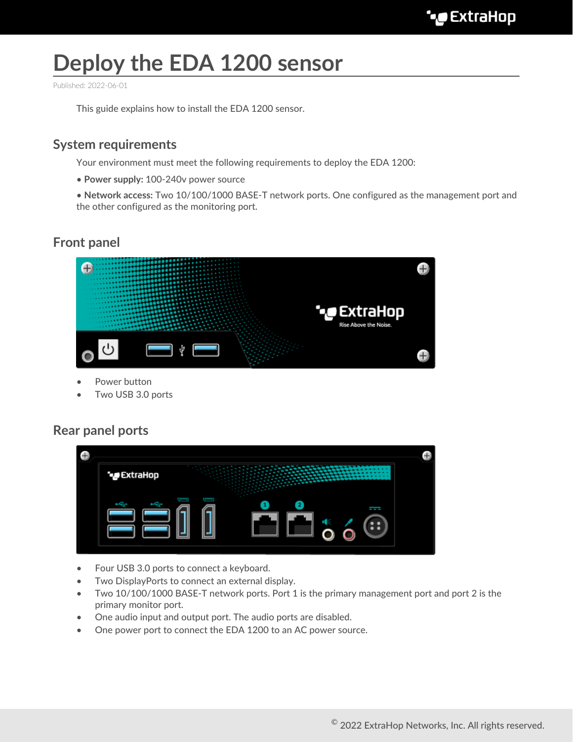# **Deploy the EDA 1200 sensor**

Published: 2022-06-01

This guide explains how to install the EDA 1200 sensor.

#### **System requirements**

Your environment must meet the following requirements to deploy the EDA 1200:

• **Power supply:** 100-240v power source

• **Network access:** Two 10/100/1000 BASE-T network ports. One configured as the management port and the other configured as the monitoring port.

## **Front panel**



- Power button
- Two USB 3.0 ports

#### **Rear panel ports**

| * ExtraHop<br>122223-002<br><b>Semantini ilik</b> |  |
|---------------------------------------------------|--|
|                                                   |  |
| l                                                 |  |
|                                                   |  |

- Four USB 3.0 ports to connect a keyboard.
- Two DisplayPorts to connect an external display.
- Two 10/100/1000 BASE-T network ports. Port 1 is the primary management port and port 2 is the primary monitor port.
- One audio input and output port. The audio ports are disabled.
- One power port to connect the EDA 1200 to an AC power source.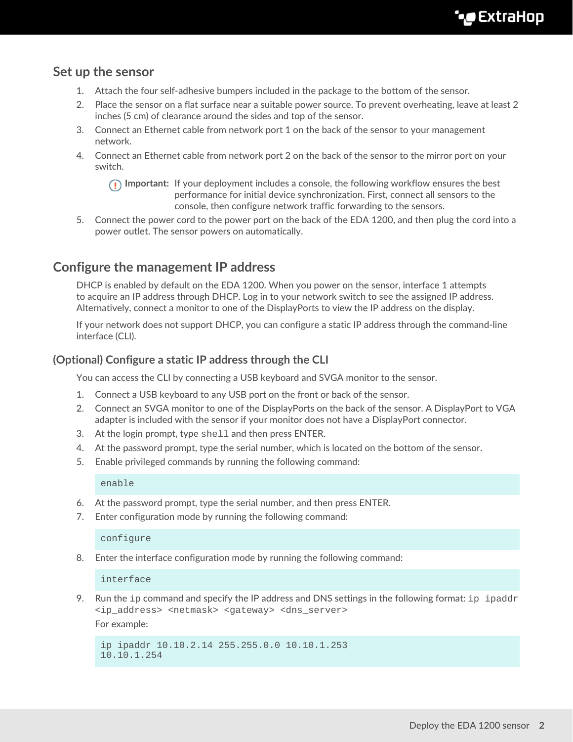## **Set up the sensor**

- 1. Attach the four self-adhesive bumpers included in the package to the bottom of the sensor.
- 2. Place the sensor on a flat surface near a suitable power source. To prevent overheating, leave at least 2 inches (5 cm) of clearance around the sides and top of the sensor.
- 3. Connect an Ethernet cable from network port 1 on the back of the sensor to your management network.
- 4. Connect an Ethernet cable from network port 2 on the back of the sensor to the mirror port on your switch.

**Important:** If your deployment includes a console, the following workflow ensures the best performance for initial device synchronization. First, connect all sensors to the console, then configure network traffic forwarding to the sensors.

5. Connect the power cord to the power port on the back of the EDA 1200, and then plug the cord into a power outlet. The sensor powers on automatically.

## **Configure the management IP address**

DHCP is enabled by default on the EDA 1200. When you power on the sensor, interface 1 attempts to acquire an IP address through DHCP. Log in to your network switch to see the assigned IP address. Alternatively, connect a monitor to one of the DisplayPorts to view the IP address on the display.

If your network does not support DHCP, you can configure a static IP address through the command-line interface (CLI).

#### **(Optional) Configure a static IP address through the CLI**

You can access the CLI by connecting a USB keyboard and SVGA monitor to the sensor.

- 1. Connect a USB keyboard to any USB port on the front or back of the sensor.
- 2. Connect an SVGA monitor to one of the DisplayPorts on the back of the sensor. A DisplayPort to VGA adapter is included with the sensor if your monitor does not have a DisplayPort connector.
- 3. At the login prompt, type shell and then press ENTER.
- 4. At the password prompt, type the serial number, which is located on the bottom of the sensor.
- 5. Enable privileged commands by running the following command:

enable

- 6. At the password prompt, type the serial number, and then press ENTER.
- 7. Enter configuration mode by running the following command:

configure

8. Enter the interface configuration mode by running the following command:

interface

9. Run the ip command and specify the IP address and DNS settings in the following format: ip ipaddr <ip\_address> <netmask> <gateway> <dns\_server>

For example:

```
ip ipaddr 10.10.2.14 255.255.0.0 10.10.1.253
10.10.1.254
```